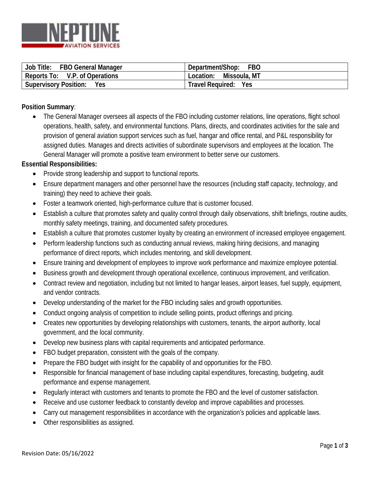

| Job Title:                     | Department/Shop:          |
|--------------------------------|---------------------------|
| <b>FBO General Manager</b>     | <b>FBO</b>                |
| Reports To: V.P. of Operations | Missoula, MT<br>Location: |
| <b>Supervisory Position:</b>   | <b>Travel Required:</b>   |
| Yes                            | Yes                       |

## **Position Summary**:

• The General Manager oversees all aspects of the FBO including customer relations, line operations, flight school operations, health, safety, and environmental functions. Plans, directs, and coordinates activities for the sale and provision of general aviation support services such as fuel, hangar and office rental, and P&L responsibility for assigned duties. Manages and directs activities of subordinate supervisors and employees at the location. The General Manager will promote a positive team environment to better serve our customers.

## **Essential Responsibilities:**

- Provide strong leadership and support to functional reports.
- Ensure department managers and other personnel have the resources (including staff capacity, technology, and training) they need to achieve their goals.
- Foster a teamwork oriented, high-performance culture that is customer focused.
- Establish a culture that promotes safety and quality control through daily observations, shift briefings, routine audits, monthly safety meetings, training, and documented safety procedures.
- Establish a culture that promotes customer loyalty by creating an environment of increased employee engagement.
- Perform leadership functions such as conducting annual reviews, making hiring decisions, and managing performance of direct reports, which includes mentoring, and skill development.
- Ensure training and development of employees to improve work performance and maximize employee potential.
- Business growth and development through operational excellence, continuous improvement, and verification.
- Contract review and negotiation, including but not limited to hangar leases, airport leases, fuel supply, equipment, and vendor contracts.
- Develop understanding of the market for the FBO including sales and growth opportunities.
- Conduct ongoing analysis of competition to include selling points, product offerings and pricing.
- Creates new opportunities by developing relationships with customers, tenants, the airport authority, local government, and the local community.
- Develop new business plans with capital requirements and anticipated performance.
- FBO budget preparation, consistent with the goals of the company.
- Prepare the FBO budget with insight for the capability of and opportunities for the FBO.
- Responsible for financial management of base including capital expenditures, forecasting, budgeting, audit performance and expense management.
- Regularly interact with customers and tenants to promote the FBO and the level of customer satisfaction.
- Receive and use customer feedback to constantly develop and improve capabilities and processes.
- Carry out management responsibilities in accordance with the organization's policies and applicable laws.
- Other responsibilities as assigned.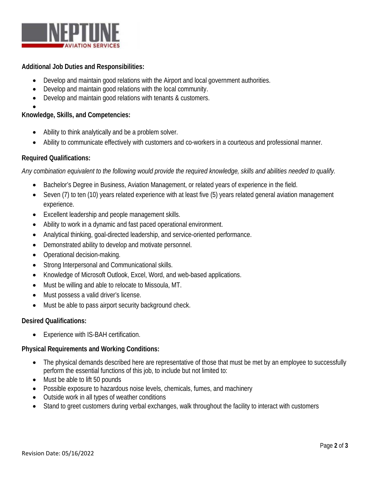

## **Additional Job Duties and Responsibilities:**

- Develop and maintain good relations with the Airport and local government authorities.
- Develop and maintain good relations with the local community.
- Develop and maintain good relations with tenants & customers.
- •

## **Knowledge, Skills, and Competencies:**

- Ability to think analytically and be a problem solver.
- Ability to communicate effectively with customers and co-workers in a courteous and professional manner.

## **Required Qualifications:**

*Any combination equivalent to the following would provide the required knowledge, skills and abilities needed to qualify.*

- Bachelor's Degree in Business, Aviation Management, or related years of experience in the field.
- Seven (7) to ten (10) years related experience with at least five (5) years related general aviation management experience.
- Excellent leadership and people management skills.
- Ability to work in a dynamic and fast paced operational environment.
- Analytical thinking, goal-directed leadership, and service-oriented performance.
- Demonstrated ability to develop and motivate personnel.
- Operational decision-making.
- Strong Interpersonal and Communicational skills.
- Knowledge of Microsoft Outlook, Excel, Word, and web-based applications.
- Must be willing and able to relocate to Missoula, MT.
- Must possess a valid driver's license.
- Must be able to pass airport security background check.

## **Desired Qualifications:**

• Experience with IS-BAH certification.

## **Physical Requirements and Working Conditions:**

- The physical demands described here are representative of those that must be met by an employee to successfully perform the essential functions of this job, to include but not limited to:
- Must be able to lift 50 pounds
- Possible exposure to hazardous noise levels, chemicals, fumes, and machinery
- Outside work in all types of weather conditions
- Stand to greet customers during verbal exchanges, walk throughout the facility to interact with customers